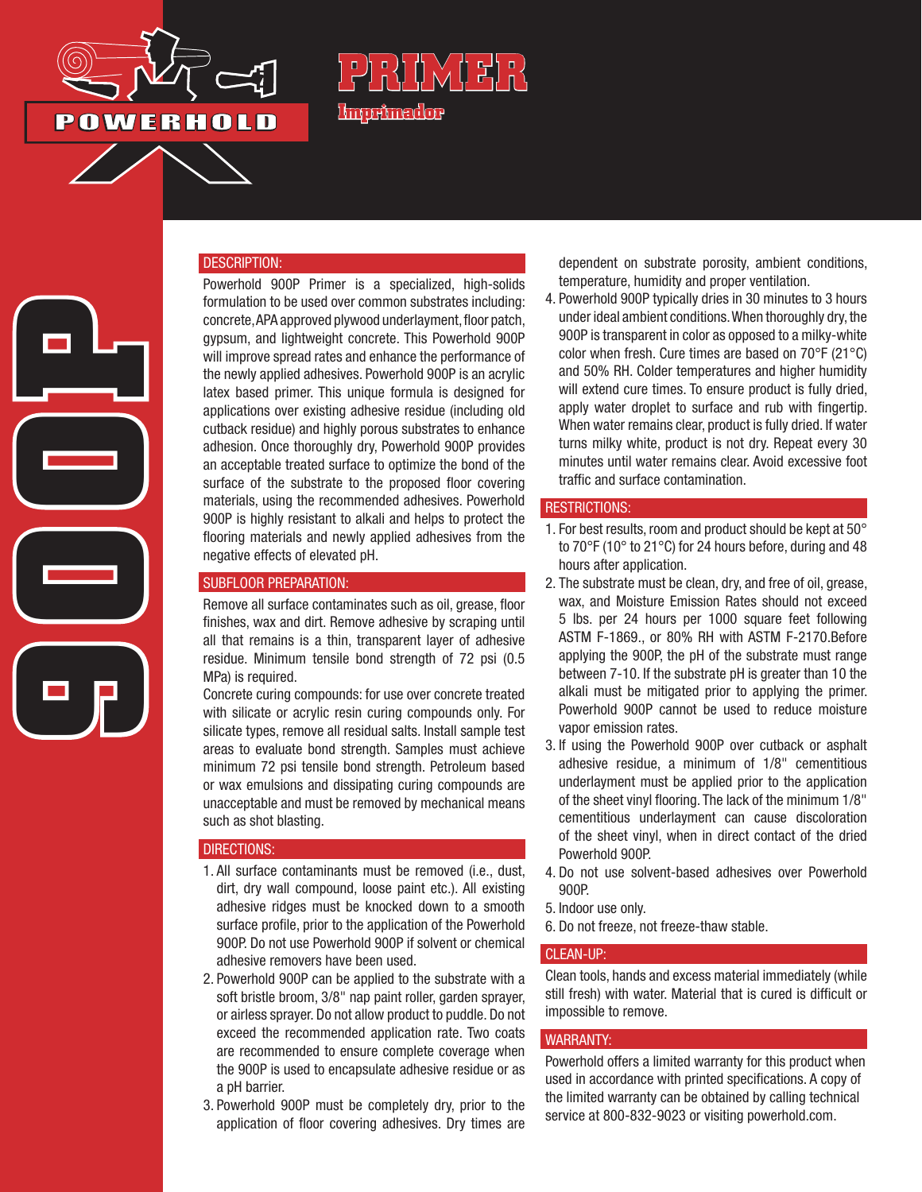

**900P**

# **R\IWHF Imprimador**

#### DESCRIPTION:

Powerhold 900P Primer is a specialized, high-solids formulation to be used over common substrates including: concrete, APA approved plywood underlayment, floor patch, gypsum, and lightweight concrete. This Powerhold 900P will improve spread rates and enhance the performance of the newly applied adhesives. Powerhold 900P is an acrylic latex based primer. This unique formula is designed for applications over existing adhesive residue (including old cutback residue) and highly porous substrates to enhance adhesion. Once thoroughly dry, Powerhold 900P provides an acceptable treated surface to optimize the bond of the surface of the substrate to the proposed floor covering materials, using the recommended adhesives. Powerhold 900P is highly resistant to alkali and helps to protect the flooring materials and newly applied adhesives from the negative effects of elevated pH.

#### SUBFLOOR PREPARATION:

Remove all surface contaminates such as oil, grease, floor finishes, wax and dirt. Remove adhesive by scraping until all that remains is a thin, transparent layer of adhesive residue. Minimum tensile bond strength of 72 psi (0.5 MPa) is required.

Concrete curing compounds: for use over concrete treated with silicate or acrylic resin curing compounds only. For silicate types, remove all residual salts. Install sample test areas to evaluate bond strength. Samples must achieve minimum 72 psi tensile bond strength. Petroleum based or wax emulsions and dissipating curing compounds are unacceptable and must be removed by mechanical means such as shot blasting.

#### DIRECTIONS:

- 1. All surface contaminants must be removed (i.e., dust, dirt, dry wall compound, loose paint etc.). All existing adhesive ridges must be knocked down to a smooth surface profile, prior to the application of the Powerhold 900P. Do not use Powerhold 900P if solvent or chemical adhesive removers have been used.
- 2. Powerhold 900P can be applied to the substrate with a soft bristle broom, 3/8" nap paint roller, garden sprayer, or airless sprayer. Do not allow product to puddle. Do not exceed the recommended application rate. Two coats are recommended to ensure complete coverage when the 900P is used to encapsulate adhesive residue or as a pH barrier.
- 3. Powerhold 900P must be completely dry, prior to the application of floor covering adhesives. Dry times are

dependent on substrate porosity, ambient conditions, temperature, humidity and proper ventilation.

4. Powerhold 900P typically dries in 30 minutes to 3 hours under ideal ambient conditions. When thoroughly dry, the 900P is transparent in color as opposed to a milky-white color when fresh. Cure times are based on 70°F (21°C) and 50% RH. Colder temperatures and higher humidity will extend cure times. To ensure product is fully dried, apply water droplet to surface and rub with fingertip. When water remains clear, product is fully dried. If water turns milky white, product is not dry. Repeat every 30 minutes until water remains clear. Avoid excessive foot traffic and surface contamination.

#### RESTRICTIONS:

- 1. For best results, room and product should be kept at 50° to 70°F (10° to 21°C) for 24 hours before, during and 48 hours after application.
- 2. The substrate must be clean, dry, and free of oil, grease, wax, and Moisture Emission Rates should not exceed 5 lbs. per 24 hours per 1000 square feet following ASTM F-1869., or 80% RH with ASTM F-2170.Before applying the 900P, the pH of the substrate must range between 7-10. If the substrate pH is greater than 10 the alkali must be mitigated prior to applying the primer. Powerhold 900P cannot be used to reduce moisture vapor emission rates.
- 3. If using the Powerhold 900P over cutback or asphalt adhesive residue, a minimum of 1/8" cementitious underlayment must be applied prior to the application of the sheet vinyl flooring. The lack of the minimum 1/8" cementitious underlayment can cause discoloration of the sheet vinyl, when in direct contact of the dried Powerhold 900P.
- 4. Do not use solvent-based adhesives over Powerhold 900P.
- 5. Indoor use only.
- 6. Do not freeze, not freeze-thaw stable.

#### CLEAN-UP:

Clean tools, hands and excess material immediately (while still fresh) with water. Material that is cured is difficult or impossible to remove.

#### WARRANTY:

Powerhold offers a limited warranty for this product when used in accordance with printed specifications. A copy of the limited warranty can be obtained by calling technical service at 800-832-9023 or visiting powerhold.com.